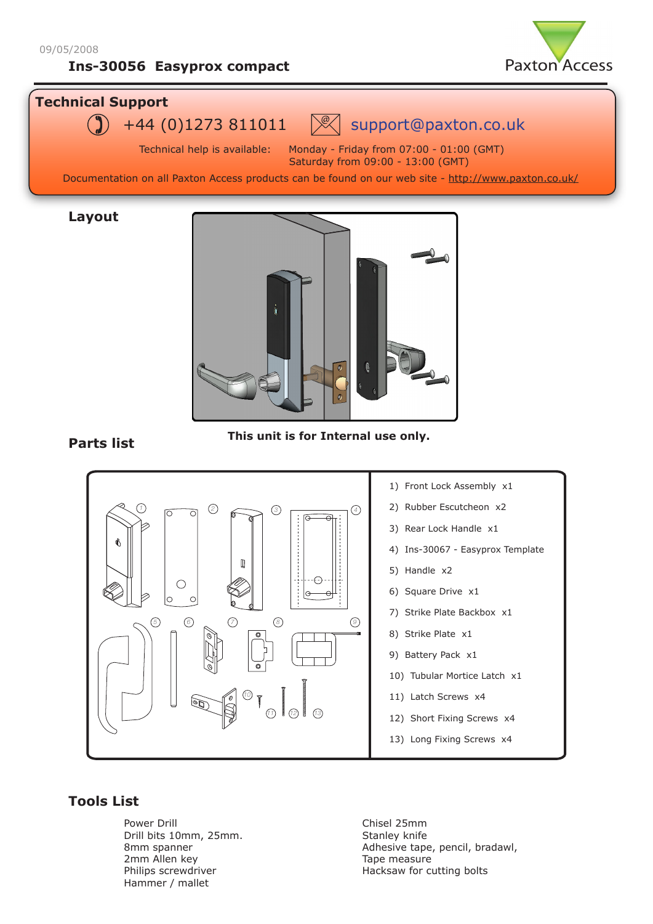# **Ins-30056 Easyprox compact**



## **Technical Support**



Technical help is available: Monday - Friday from 07:00 - 01:00 (GMT) Saturday from 09:00 - 13:00 (GMT)

Documentation on all Paxton Access products can be found on our web site - http://www.paxton.co.uk/

### **Layout**



## **Parts list**

**This unit is for Internal use only.** 



## **Tools List**

Power Drill Drill bits 10mm, 25mm. 8mm spanner 2mm Allen key Philips screwdriver Hammer / mallet

Chisel 25mm Stanley knife Adhesive tape, pencil, bradawl, Tape measure Hacksaw for cutting bolts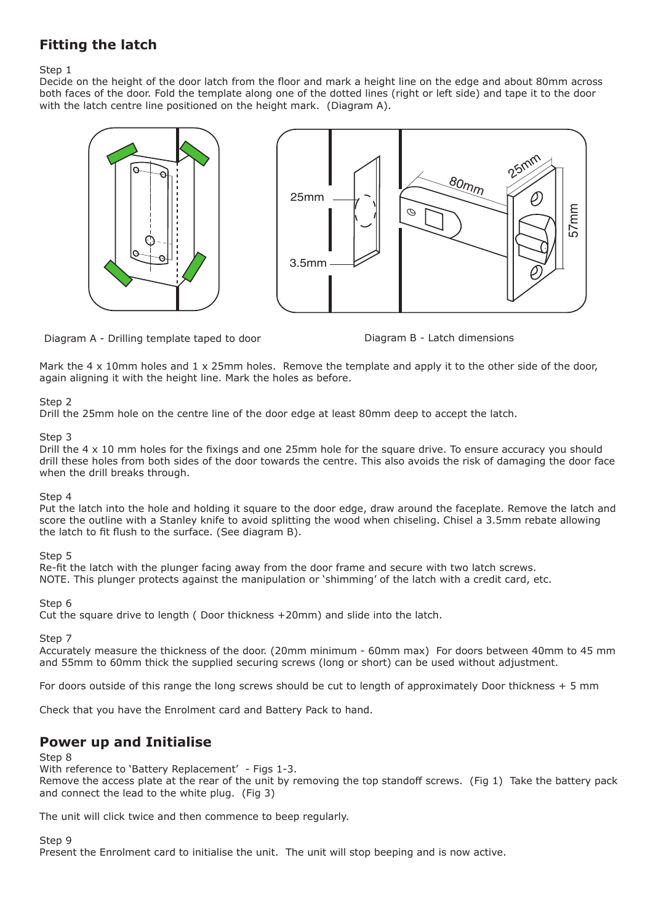# **Fitting the latch**

Step 1

Decide on the height of the door latch from the floor and mark a height line on the edge and about 80mm across both faces of the door. Fold the template along one of the dotted lines (right or left side) and tape it to the door with the latch centre line positioned on the height mark. (Diagram A).





Diagram B - Latch dimensions

Mark the 4 x 10mm holes and 1 x 25mm holes. Remove the template and apply it to the other side of the door, again aligning it with the height line. Mark the holes as before.

### Step 2

Drill the 25mm hole on the centre line of the door edge at least 80mm deep to accept the latch.

#### Step 3

Drill the 4 x 10 mm holes for the fixings and one 25mm hole for the square drive. To ensure accuracy you should drill these holes from both sides of the door towards the centre. This also avoids the risk of damaging the door face when the drill breaks through.

### Step 4

Put the latch into the hole and holding it square to the door edge, draw around the faceplate. Remove the latch and score the outline with a Stanley knife to avoid splitting the wood when chiseling. Chisel a 3.5mm rebate allowing the latch to fit flush to the surface. (See diagram B).

### Step 5

Re-fit the latch with the plunger facing away from the door frame and secure with two latch screws. NOTE. This plunger protects against the manipulation or 'shimming' of the latch with a credit card, etc.

Step 6

Cut the square drive to length ( Door thickness +20mm) and slide into the latch.

### Step 7

Accurately measure the thickness of the door. (20mm minimum - 60mm max) For doors between 40mm to 45 mm and 55mm to 60mm thick the supplied securing screws (long or short) can be used without adjustment.

For doors outside of this range the long screws should be cut to length of approximately Door thickness + 5 mm

Check that you have the Enrolment card and Battery Pack to hand.

## **Power up and Initialise**

#### Step 8

With reference to 'Battery Replacement' - Figs 1-3. Remove the access plate at the rear of the unit by removing the top standoff screws. (Fig 1) Take the battery pack and connect the lead to the white plug. (Fig 3)

The unit will click twice and then commence to beep regularly.

Step 9

Present the Enrolment card to initialise the unit. The unit will stop beeping and is now active.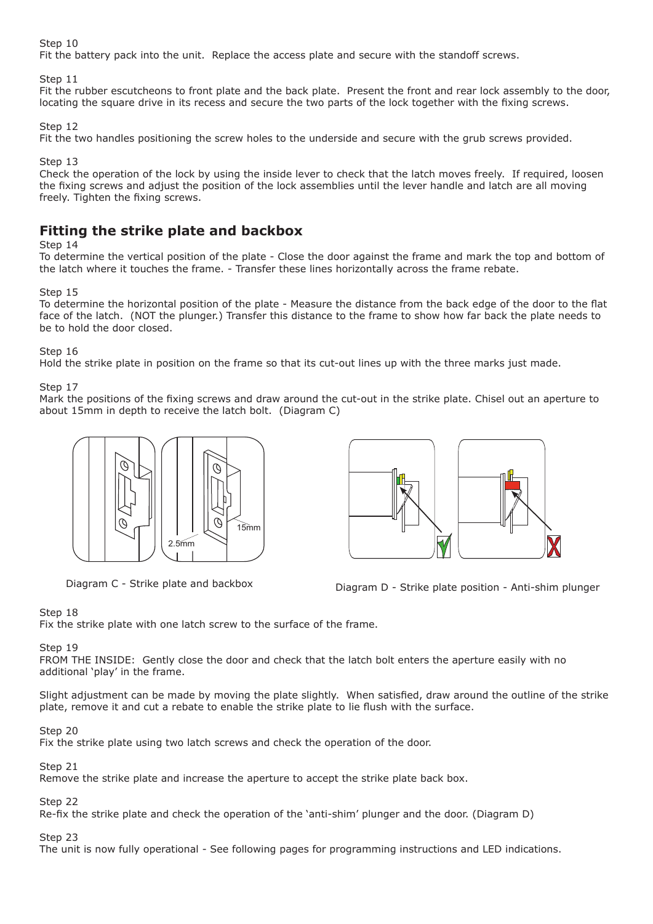#### Step 10

Fit the battery pack into the unit. Replace the access plate and secure with the standoff screws.

Step 11

Fit the rubber escutcheons to front plate and the back plate. Present the front and rear lock assembly to the door, locating the square drive in its recess and secure the two parts of the lock together with the fixing screws.

Step 12

Fit the two handles positioning the screw holes to the underside and secure with the grub screws provided.

Step 13

Check the operation of the lock by using the inside lever to check that the latch moves freely. If required, loosen the fixing screws and adjust the position of the lock assemblies until the lever handle and latch are all moving freely. Tighten the fixing screws.

## **Fitting the strike plate and backbox**

#### Step 14

To determine the vertical position of the plate - Close the door against the frame and mark the top and bottom of the latch where it touches the frame. - Transfer these lines horizontally across the frame rebate.

#### Step 15

To determine the horizontal position of the plate - Measure the distance from the back edge of the door to the flat face of the latch. (NOT the plunger.) Transfer this distance to the frame to show how far back the plate needs to be to hold the door closed.

Step 16

Hold the strike plate in position on the frame so that its cut-out lines up with the three marks just made.

#### Step 17

Mark the positions of the fixing screws and draw around the cut-out in the strike plate. Chisel out an aperture to about 15mm in depth to receive the latch bolt. (Diagram C)





Diagram C - Strike plate and backbox Diagram D - Strike plate position - Anti-shim plunger

#### Step 18

Fix the strike plate with one latch screw to the surface of the frame.

#### Step 19

FROM THE INSIDE: Gently close the door and check that the latch bolt enters the aperture easily with no additional 'play' in the frame.

Slight adjustment can be made by moving the plate slightly. When satisfied, draw around the outline of the strike plate, remove it and cut a rebate to enable the strike plate to lie flush with the surface.

#### Step 20

Fix the strike plate using two latch screws and check the operation of the door.

#### Step 21

Remove the strike plate and increase the aperture to accept the strike plate back box.

Step 22

Re-fix the strike plate and check the operation of the 'anti-shim' plunger and the door. (Diagram D)

### Step 23

The unit is now fully operational - See following pages for programming instructions and LED indications.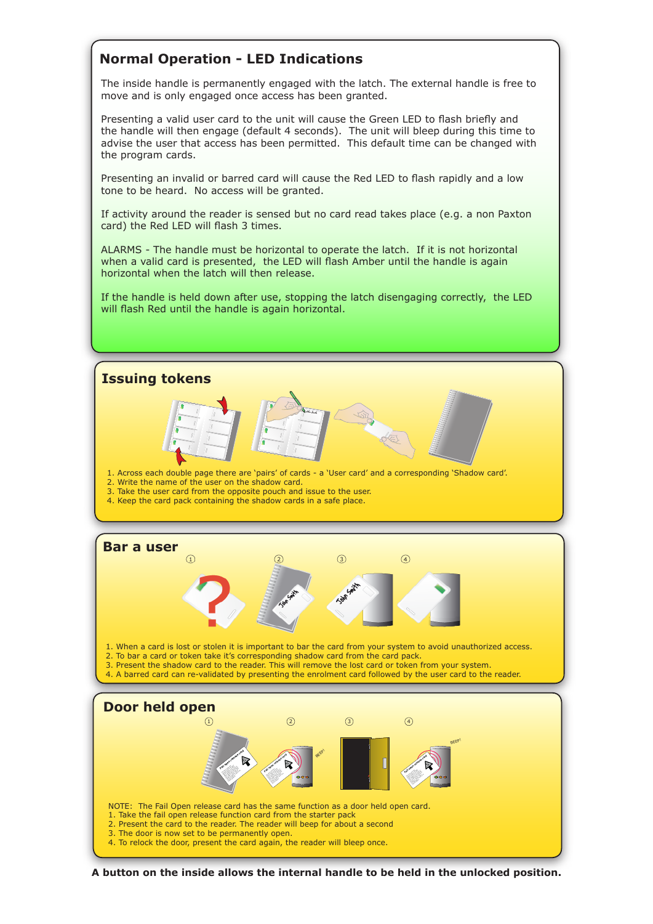# **Normal Operation - LED Indications**

The inside handle is permanently engaged with the latch. The external handle is free to move and is only engaged once access has been granted.

Presenting a valid user card to the unit will cause the Green LED to flash briefly and the handle will then engage (default 4 seconds). The unit will bleep during this time to advise the user that access has been permitted. This default time can be changed with the program cards.

Presenting an invalid or barred card will cause the Red LED to flash rapidly and a low tone to be heard. No access will be granted.

If activity around the reader is sensed but no card read takes place (e.g. a non Paxton card) the Red LED will flash 3 times.

ALARMS - The handle must be horizontal to operate the latch. If it is not horizontal when a valid card is presented, the LED will flash Amber until the handle is again horizontal when the latch will then release.

If the handle is held down after use, stopping the latch disengaging correctly, the LED will flash Red until the handle is again horizontal.



**A button on the inside allows the internal handle to be held in the unlocked position.**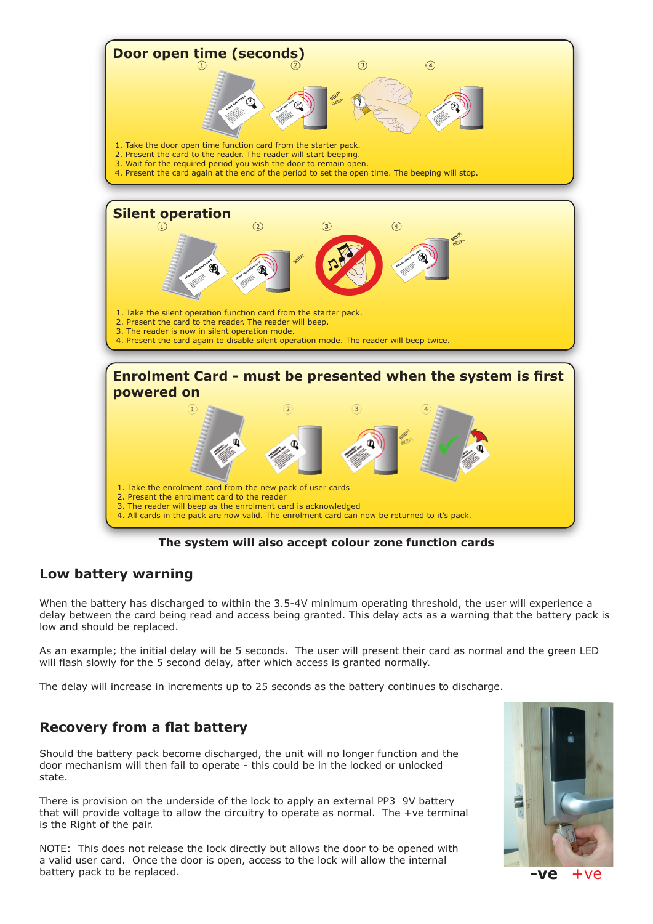

**The system will also accept colour zone function cards** 

# **Low battery warning**

When the battery has discharged to within the 3.5-4V minimum operating threshold, the user will experience a delay between the card being read and access being granted. This delay acts as a warning that the battery pack is low and should be replaced.

As an example; the initial delay will be 5 seconds. The user will present their card as normal and the green LED will flash slowly for the 5 second delay, after which access is granted normally.

The delay will increase in increments up to 25 seconds as the battery continues to discharge.

# **Recovery from a flat battery**

Should the battery pack become discharged, the unit will no longer function and the door mechanism will then fail to operate - this could be in the locked or unlocked state.

There is provision on the underside of the lock to apply an external PP3 9V battery that will provide voltage to allow the circuitry to operate as normal. The +ve terminal is the Right of the pair.

NOTE: This does not release the lock directly but allows the door to be opened with a valid user card. Once the door is open, access to the lock will allow the internal battery pack to be replaced.